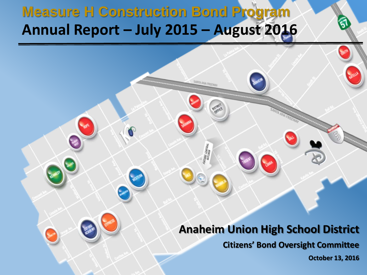### **Measure H Construction Bond Program Annual Report – July 2015 – August 2016**

#### **Anaheim Union High School District**

**Citizens' Bond Oversight Committee**

**October 13, 2016**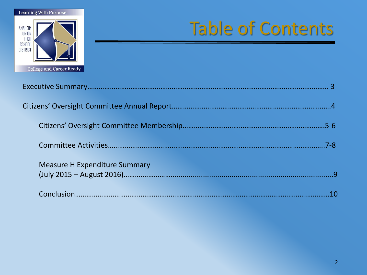

# Table of Contents

|                                      | 7-8 |
|--------------------------------------|-----|
| <b>Measure H Expenditure Summary</b> |     |
|                                      |     |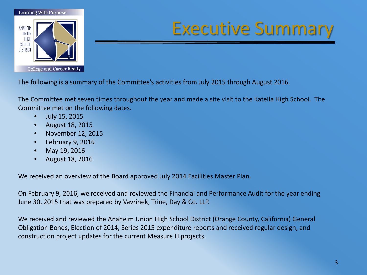

### Executive Summary

The following is a summary of the Committee's activities from July 2015 through August 2016.

The Committee met seven times throughout the year and made a site visit to the Katella High School. The Committee met on the following dates.

- July 15, 2015
- August 18, 2015
- November 12, 2015
- February 9, 2016
- May 19, 2016
- August 18, 2016

We received an overview of the Board approved July 2014 Facilities Master Plan.

On February 9, 2016, we received and reviewed the Financial and Performance Audit for the year ending June 30, 2015 that was prepared by Vavrinek, Trine, Day & Co. LLP.

We received and reviewed the Anaheim Union High School District (Orange County, California) General Obligation Bonds, Election of 2014, Series 2015 expenditure reports and received regular design, and construction project updates for the current Measure H projects.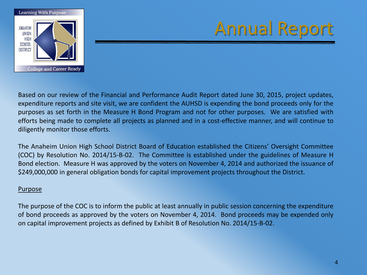

Based on our review of the Financial and Performance Audit Report dated June 30, 2015, project updates, expenditure reports and site visit, we are confident the AUHSD is expending the bond proceeds only for the purposes as set forth in the Measure H Bond Program and not for other purposes. We are satisfied with efforts being made to complete all projects as planned and in a cost-effective manner, and will continue to diligently monitor those efforts.

The Anaheim Union High School District Board of Education established the Citizens' Oversight Committee (COC) by Resolution No. 2014/15-B-02. The Committee is established under the guidelines of Measure H Bond election. Measure H was approved by the voters on November 4, 2014 and authorized the issuance of \$249,000,000 in general obligation bonds for capital improvement projects throughout the District.

#### Purpose

The purpose of the COC is to inform the public at least annually in public session concerning the expenditure of bond proceeds as approved by the voters on November 4, 2014. Bond proceeds may be expended only on capital improvement projects as defined by Exhibit B of Resolution No. 2014/15-B-02.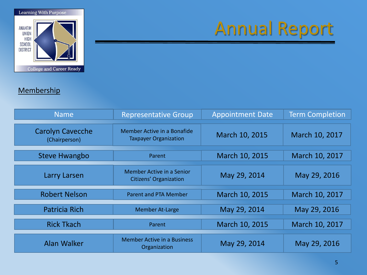

#### **Membership**

| <b>Name</b>                              | <b>Representative Group</b>                                 | <b>Appointment Date</b> | <b>Term Completion</b> |
|------------------------------------------|-------------------------------------------------------------|-------------------------|------------------------|
| <b>Carolyn Cavecche</b><br>(Chairperson) | Member Active in a Bonafide<br><b>Taxpayer Organization</b> | March 10, 2015          | March 10, 2017         |
| <b>Steve Hwangbo</b>                     | Parent                                                      | March 10, 2015          | March 10, 2017         |
| Larry Larsen                             | <b>Member Active in a Senior</b><br>Citizens' Organization  | May 29, 2014            | May 29, 2016           |
| <b>Robert Nelson</b>                     | <b>Parent and PTA Member</b>                                | March 10, 2015          | March 10, 2017         |
| <b>Patricia Rich</b>                     | <b>Member At-Large</b>                                      | May 29, 2014            | May 29, 2016           |
| <b>Rick Tkach</b>                        | Parent                                                      | March 10, 2015          | March 10, 2017         |
| <b>Alan Walker</b>                       | <b>Member Active in a Business</b><br>Organization          | May 29, 2014            | May 29, 2016           |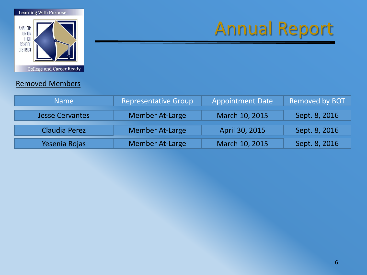

#### Removed Members

| <b>Name</b>            | <b>Representative Group</b> | <b>Appointment Date</b> | <b>Removed by BOT</b> |
|------------------------|-----------------------------|-------------------------|-----------------------|
| <b>Jesse Cervantes</b> | <b>Member At-Large</b>      | March 10, 2015          | Sept. 8, 2016         |
| Claudia Perez          | <b>Member At-Large</b>      | April 30, 2015          | Sept. 8, 2016         |
| Yesenia Rojas          | <b>Member At-Large</b>      | March 10, 2015          | Sept. 8, 2016         |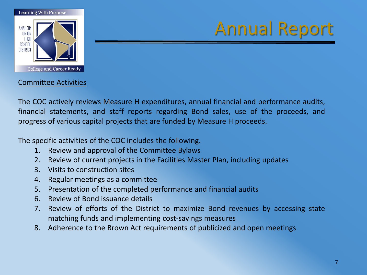

#### Committee Activities

The COC actively reviews Measure H expenditures, annual financial and performance audits, financial statements, and staff reports regarding Bond sales, use of the proceeds, and progress of various capital projects that are funded by Measure H proceeds.

The specific activities of the COC includes the following.

- 1. Review and approval of the Committee Bylaws
- 2. Review of current projects in the Facilities Master Plan, including updates
- 3. Visits to construction sites
- 4. Regular meetings as a committee
- 5. Presentation of the completed performance and financial audits
- 6. Review of Bond issuance details
- 7. Review of efforts of the District to maximize Bond revenues by accessing state matching funds and implementing cost-savings measures
- 8. Adherence to the Brown Act requirements of publicized and open meetings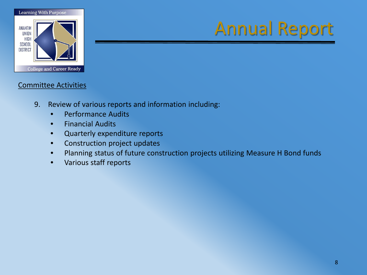

#### Committee Activities

- 9. Review of various reports and information including:
	- Performance Audits
	- Financial Audits
	- Quarterly expenditure reports
	- Construction project updates
	- Planning status of future construction projects utilizing Measure H Bond funds
	- Various staff reports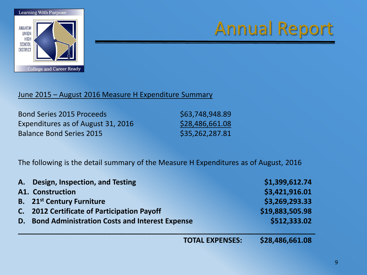

#### June 2015 – August 2016 Measure H Expenditure Summary

Bond Series 2015 Proceeds \$63,748,948.89 Expenditures as of August 31, 2016  $$28,486,661.08$ Balance Bond Series 2015 \$35,262,287.81

The following is the detail summary of the Measure H Expenditures as of August, 2016

|    | A. Design, Inspection, and Testing                    |                        | \$1,399,612.74  |
|----|-------------------------------------------------------|------------------------|-----------------|
|    | <b>A1. Construction</b>                               |                        | \$3,421,916.01  |
|    | <b>B.</b> 21 <sup>st</sup> Century Furniture          |                        | \$3,269,293.33  |
|    | C. 2012 Certificate of Participation Payoff           |                        | \$19,883,505.98 |
| D. | <b>Bond Administration Costs and Interest Expense</b> |                        | \$512,333.02    |
|    |                                                       | <b>TOTAL EXPENSES:</b> | \$28,486,661.08 |